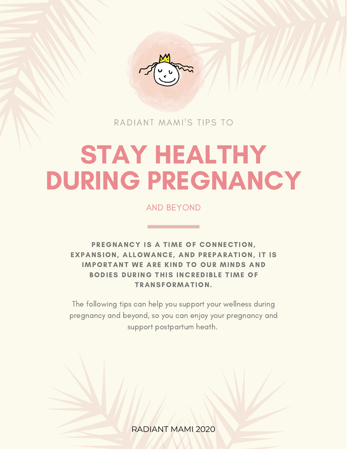

RADIANT MAMI'S TIPS TO

# STAY HEALTHY DURING PREGNANCY

AND BEYOND

PREGNANCY IS A TIME OF CONNECTION, EXPANSION, ALLOWANCE, AND PREPARATION, IT IS IMPORTANT WE ARE KIND TO OUR MINDS AND BODIES DURING THIS INCREDIBLE TIME OF TRANSFORMATION.

The following tips can help you support your wellness during pregnancy and beyond, so you can enjoy your pregnancy and support postpartum heath.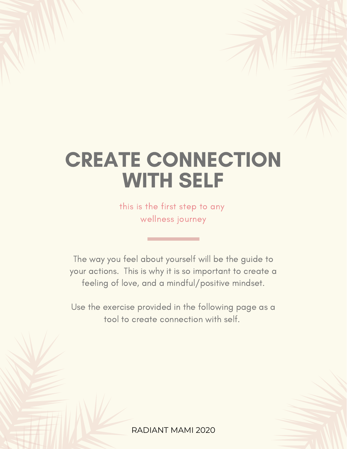### CREATE CONNECTION WITH SELF

this is the first step to any wellness journey

The way you feel about yourself will be the guide to your actions. This is why it is so important to create a feeling of love, and a mindful/positive mindset.

Use the exercise provided in the following page as a tool to create connection with self.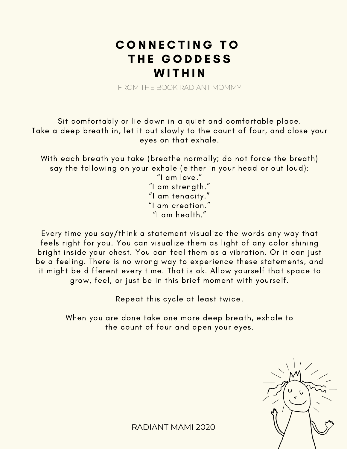### CONNECTING TO THE GODDESS **WITHIN**

FROM THE BOOK RADIANT MOMMY

Sit comfortably or lie down in a quiet and comfortable place. Take a deep breath in, let it out slowly to the count of four, and close your eyes on that exhale.

With each breath you take (breathe normally; do not force the breath) say the following on your exhale (either in your head or out loud):

"I am love." "I am strength." "I am tenacity." "I am creation." "I am health."

Every time you say/think a statement visualize the words any way that feels right for you. You can visualize them as light of any color shining bright inside your chest. You can feel them as a vibration. Or it can just be a feeling. There is no wrong way to experience these statements, and it might be different every time. That is ok. Allow yourself that space to grow, feel, or just be in this brief moment with yourself.

Repeat this cycle at least twice.

When you are done take one more deep breath, exhale to the count of four and open your eyes.

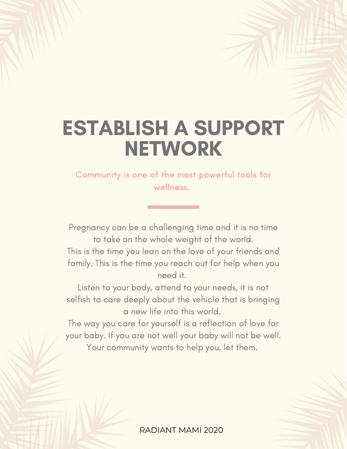### ESTABLISH A SUPPORT **NETWORK**

### Community is one of the most powerful tools for wellness.

Pregnancy can be a challenging time and it is no time to take on the whole weight of the world. This is the time you lean on the love of your friends and family. This is the time you reach out for help when you

need it.

Listen to your body, attend to your needs, it is not selfish to care deeply about the vehicle that is bringing a new life into this world.

The way you care for yourself is a reflection of love for your baby. If you are not well your baby will not be well. Your community wants to help you, let them.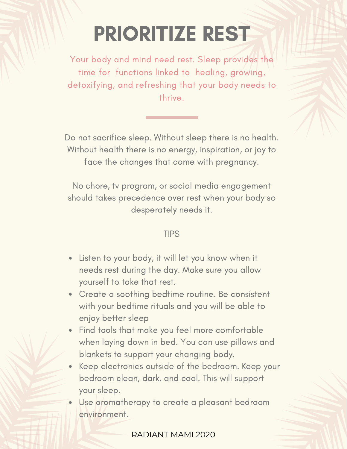### PRIORITIZE REST

Your body and mind need rest. Sleep provides the time for functions linked to healing, growing, detoxifying, and refreshing that your body needs to thrive.

Do not sacrifice sleep. Without sleep there is no health. Without health there is no energy, inspiration, or joy to face the changes that come with pregnancy.

No chore, tv program, or social media engagement should takes precedence over rest when your body so desperately needs it.

### TIPS

- Listen to your body, it will let you know when it needs rest during the day. Make sure you allow yourself to take that rest.
- Create a soothing bedtime routine. Be consistent with your bedtime rituals and you will be able to enjoy better sleep
- Find tools that make you feel more comfortable when laying down in bed. You can use pillows and blankets to support your changing body.
- Keep electronics outside of the bedroom. Keep your bedroom clean, dark, and cool. This will support your sleep.

Use aromatherapy to create a pleasant bedroom environment.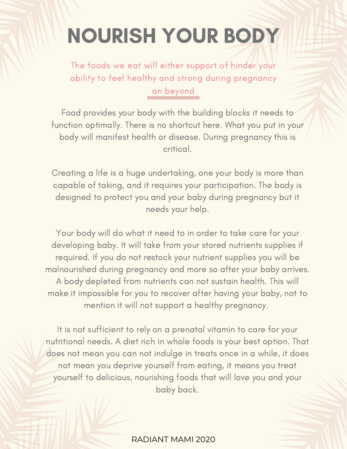## NOURISH YOUR BODY

The foods we eat will either support of hinder your ability to feel healthy and strong during pregnancy an beyond

Food provides your body with the building blocks it needs to function optimally. There is no shortcut here. What you put in your body will manifest health or disease. During pregnancy this is critical.

Creating a life is a huge undertaking, one your body is more than capable of taking, and it requires your participation. The body is designed to protect you and your baby during pregnancy but it needs your help.

Your body will do what it need to in order to take care for your developing baby. It will take from your stored nutrients supplies if required. If you do not restock your nutrient supplies you will be malnourished during pregnancy and more so after your baby arrives. A body depleted from nutrients can not sustain health. This will make it impossible for you to recover after having your baby, not to mention it will not support a healthy pregnancy.

It is not sufficient to rely on a prenatal vitamin to care for your nutritional needs. A diet rich in whole foods is your best option. That does not mean you can not indulge in treats once in a while, it does not mean you deprive yourself from eating, it means you treat yourself to delicious, nourishing foods that will love you and your baby back.